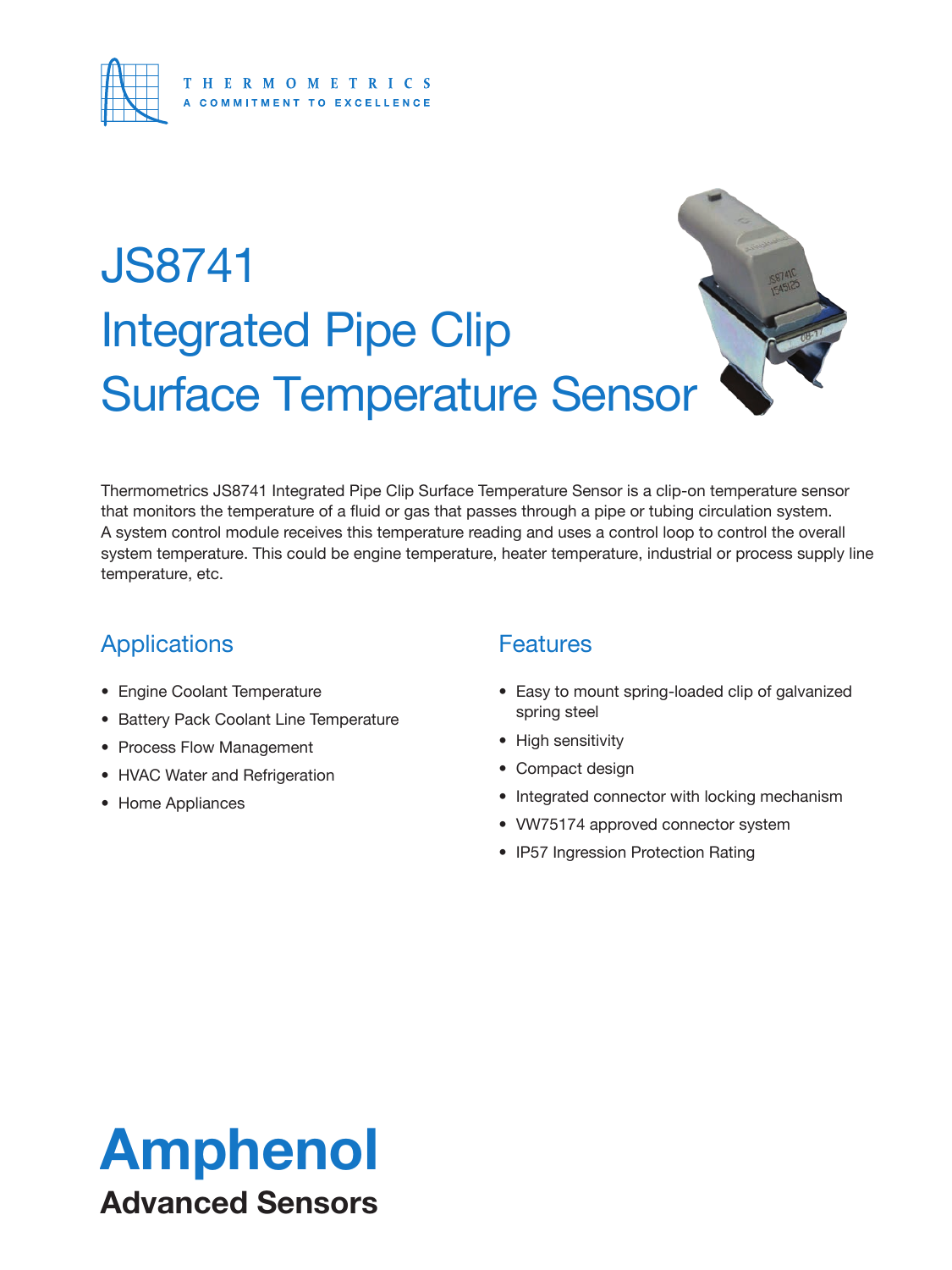

# JS8741 Integrated Pipe Clip Surface Temperature Sensor



Thermometrics JS8741 Integrated Pipe Clip Surface Temperature Sensor is a clip-on temperature sensor that monitors the temperature of a fluid or gas that passes through a pipe or tubing circulation system. A system control module receives this temperature reading and uses a control loop to control the overall system temperature. This could be engine temperature, heater temperature, industrial or process supply line temperature, etc.

### **Applications**

- Engine Coolant Temperature
- Battery Pack Coolant Line Temperature
- Process Flow Management
- HVAC Water and Refrigeration
- Home Appliances

### **Features**

- Easy to mount spring-loaded clip of galvanized spring steel
- High sensitivity
- Compact design
- Integrated connector with locking mechanism
- VW75174 approved connector system
- IP57 Ingression Protection Rating

## Amphenol Advanced Sensors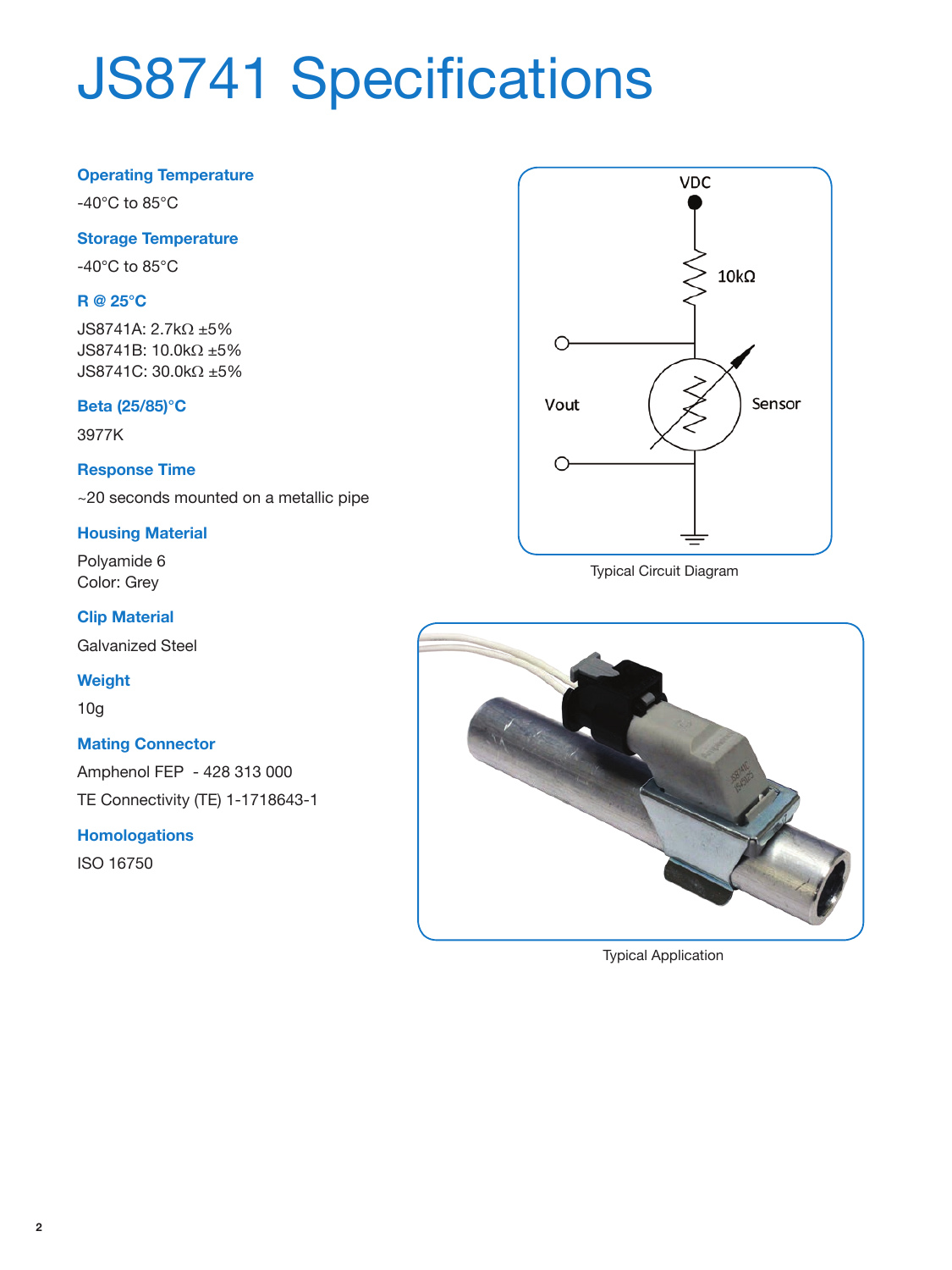# JS8741 Specifications

#### **Operating Temperature**

-40°C to 85°C

#### **Storage Temperature**

-40°C to 85°C

#### **R @ 25°C**

JS8741A: 2.7kΩ ±5% JS8741B: 10.0kΩ ±5% JS8741C: 30.0kΩ ±5%

#### **Beta (25/85)°C**

3977K

#### **Response Time**

~20 seconds mounted on a metallic pipe

#### **Housing Material**

Polyamide 6 Color: Grey

#### **Clip Material**

Galvanized Steel

#### **Weight**

10g

#### **Mating Connector**

Amphenol FEP - 428 313 000 TE Connectivity (TE) 1-1718643-1

#### **Homologations**

ISO 16750



Typical Circuit Diagram



Typical Application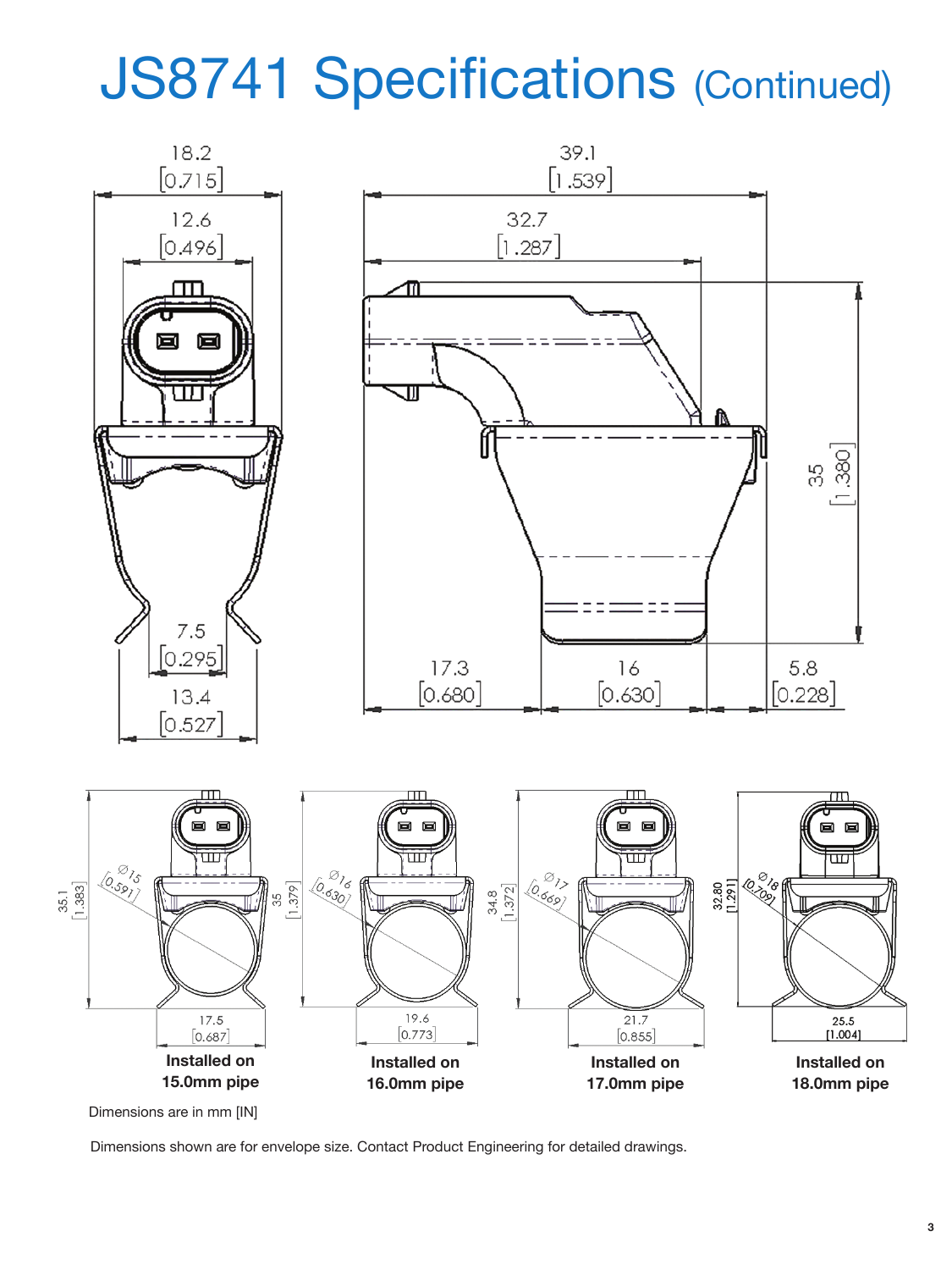## JS8741 Specifications (Continued)



Dimensions are in mm [IN]

Dimensions shown are for envelope size. Contact Product Engineering for detailed drawings.